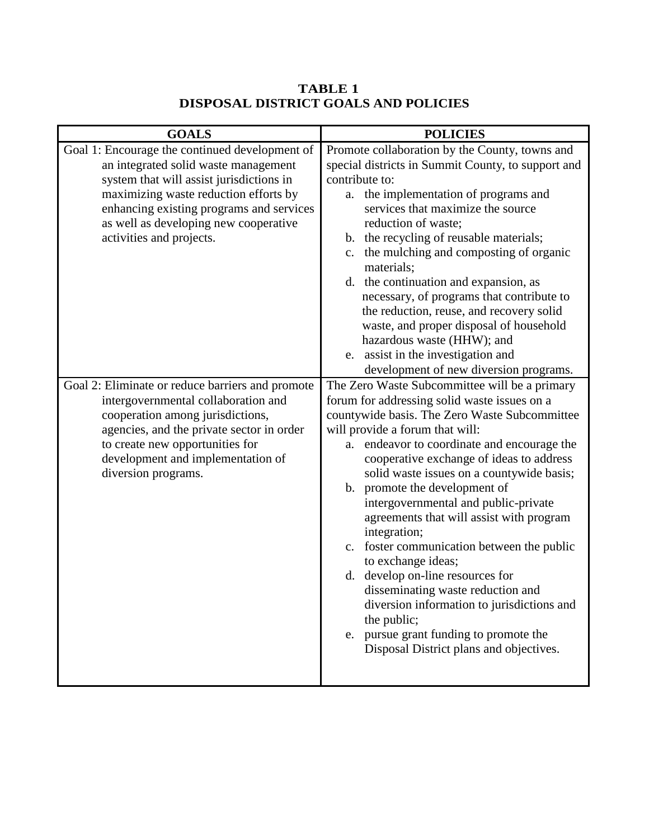## **TABLE 1 DISPOSAL DISTRICT GOALS AND POLICIES**

| Goal 1: Encourage the continued development of<br>Promote collaboration by the County, towns and<br>an integrated solid waste management<br>special districts in Summit County, to support and<br>contribute to:<br>system that will assist jurisdictions in<br>maximizing waste reduction efforts by<br>the implementation of programs and<br>a.<br>services that maximize the source<br>enhancing existing programs and services<br>as well as developing new cooperative<br>reduction of waste;<br>b. the recycling of reusable materials;<br>activities and projects.<br>c. the mulching and composting of organic<br>materials;<br>d. the continuation and expansion, as<br>necessary, of programs that contribute to<br>the reduction, reuse, and recovery solid<br>waste, and proper disposal of household<br>hazardous waste (HHW); and<br>e. assist in the investigation and<br>development of new diversion programs.<br>The Zero Waste Subcommittee will be a primary<br>Goal 2: Eliminate or reduce barriers and promote<br>forum for addressing solid waste issues on a<br>intergovernmental collaboration and<br>countywide basis. The Zero Waste Subcommittee<br>cooperation among jurisdictions,<br>agencies, and the private sector in order<br>will provide a forum that will:<br>to create new opportunities for<br>a. endeavor to coordinate and encourage the<br>development and implementation of<br>cooperative exchange of ideas to address<br>diversion programs.<br>solid waste issues on a countywide basis;<br>b. promote the development of<br>intergovernmental and public-private<br>agreements that will assist with program<br>integration;<br>c. foster communication between the public<br>to exchange ideas;<br>d. develop on-line resources for<br>disseminating waste reduction and<br>diversion information to jurisdictions and<br>the public;<br>e. pursue grant funding to promote the<br>Disposal District plans and objectives. | <b>GOALS</b> | <b>POLICIES</b> |
|-----------------------------------------------------------------------------------------------------------------------------------------------------------------------------------------------------------------------------------------------------------------------------------------------------------------------------------------------------------------------------------------------------------------------------------------------------------------------------------------------------------------------------------------------------------------------------------------------------------------------------------------------------------------------------------------------------------------------------------------------------------------------------------------------------------------------------------------------------------------------------------------------------------------------------------------------------------------------------------------------------------------------------------------------------------------------------------------------------------------------------------------------------------------------------------------------------------------------------------------------------------------------------------------------------------------------------------------------------------------------------------------------------------------------------------------------------------------------------------------------------------------------------------------------------------------------------------------------------------------------------------------------------------------------------------------------------------------------------------------------------------------------------------------------------------------------------------------------------------------------------------------------------------------------------------------------------------------------------|--------------|-----------------|
|                                                                                                                                                                                                                                                                                                                                                                                                                                                                                                                                                                                                                                                                                                                                                                                                                                                                                                                                                                                                                                                                                                                                                                                                                                                                                                                                                                                                                                                                                                                                                                                                                                                                                                                                                                                                                                                                                                                                                                             |              |                 |